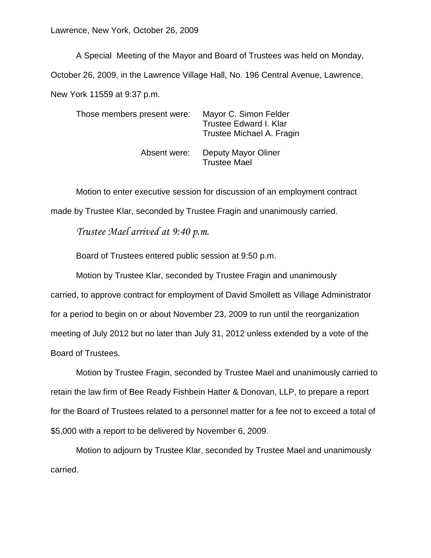A Special Meeting of the Mayor and Board of Trustees was held on Monday, October 26, 2009, in the Lawrence Village Hall, No. 196 Central Avenue, Lawrence, New York 11559 at 9:37 p.m.

Those members present were: Mayor C. Simon Felder Trustee Edward I. Klar Trustee Michael A. Fragin

> Absent were: Deputy Mayor Oliner Trustee Mael

Motion to enter executive session for discussion of an employment contract made by Trustee Klar, seconded by Trustee Fragin and unanimously carried.

*Trustee Mael arrived at 9:40 p.m.*

Board of Trustees entered public session at 9:50 p.m.

Motion by Trustee Klar, seconded by Trustee Fragin and unanimously carried, to approve contract for employment of David Smollett as Village Administrator for a period to begin on or about November 23, 2009 to run until the reorganization meeting of July 2012 but no later than July 31, 2012 unless extended by a vote of the Board of Trustees.

Motion by Trustee Fragin, seconded by Trustee Mael and unanimously carried to retain the law firm of Bee Ready Fishbein Hatter & Donovan, LLP, to prepare a report for the Board of Trustees related to a personnel matter for a fee not to exceed a total of \$5,000 with a report to be delivered by November 6, 2009.

Motion to adjourn by Trustee Klar, seconded by Trustee Mael and unanimously carried.